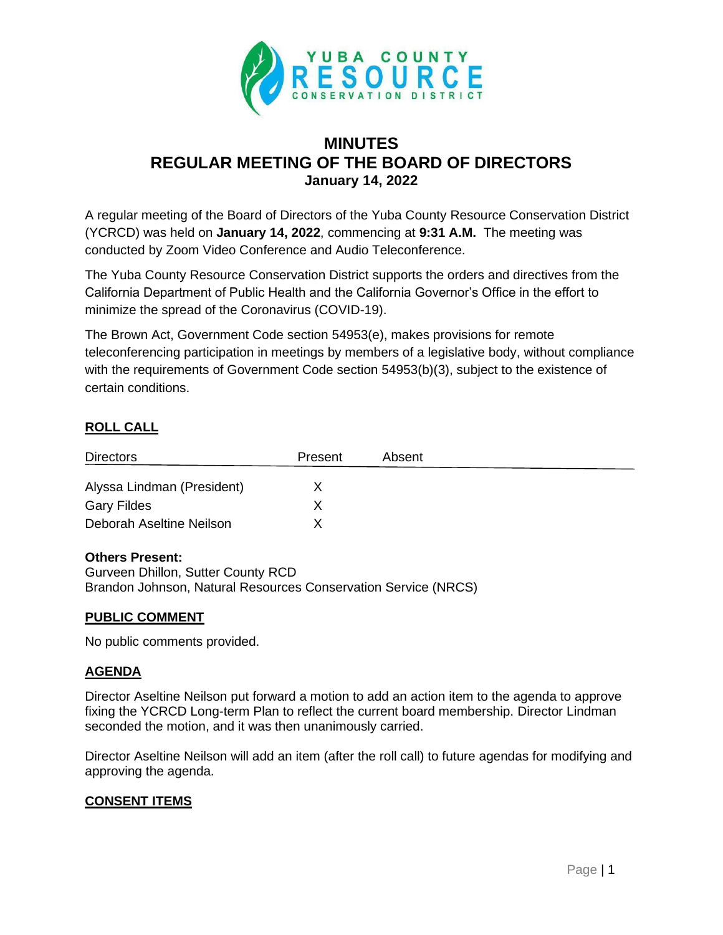

# **MINUTES REGULAR MEETING OF THE BOARD OF DIRECTORS January 14, 2022**

A regular meeting of the Board of Directors of the Yuba County Resource Conservation District (YCRCD) was held on **January 14, 2022**, commencing at **9:31 A.M.** The meeting was conducted by Zoom Video Conference and Audio Teleconference.

The Yuba County Resource Conservation District supports the orders and directives from the California Department of Public Health and the California Governor's Office in the effort to minimize the spread of the Coronavirus (COVID-19).

The Brown Act, Government Code section 54953(e), makes provisions for remote teleconferencing participation in meetings by members of a legislative body, without compliance with the requirements of Government Code section 54953(b)(3), subject to the existence of certain conditions.

## **ROLL CALL**

| <b>Directors</b>           | Present | Absent |  |
|----------------------------|---------|--------|--|
| Alyssa Lindman (President) |         |        |  |
| <b>Gary Fildes</b>         |         |        |  |
| Deborah Aseltine Neilson   |         |        |  |

#### **Others Present:**

Gurveen Dhillon, Sutter County RCD Brandon Johnson, Natural Resources Conservation Service (NRCS)

#### **PUBLIC COMMENT**

No public comments provided.

#### **AGENDA**

Director Aseltine Neilson put forward a motion to add an action item to the agenda to approve fixing the YCRCD Long-term Plan to reflect the current board membership. Director Lindman seconded the motion, and it was then unanimously carried.

Director Aseltine Neilson will add an item (after the roll call) to future agendas for modifying and approving the agenda.

#### **CONSENT ITEMS**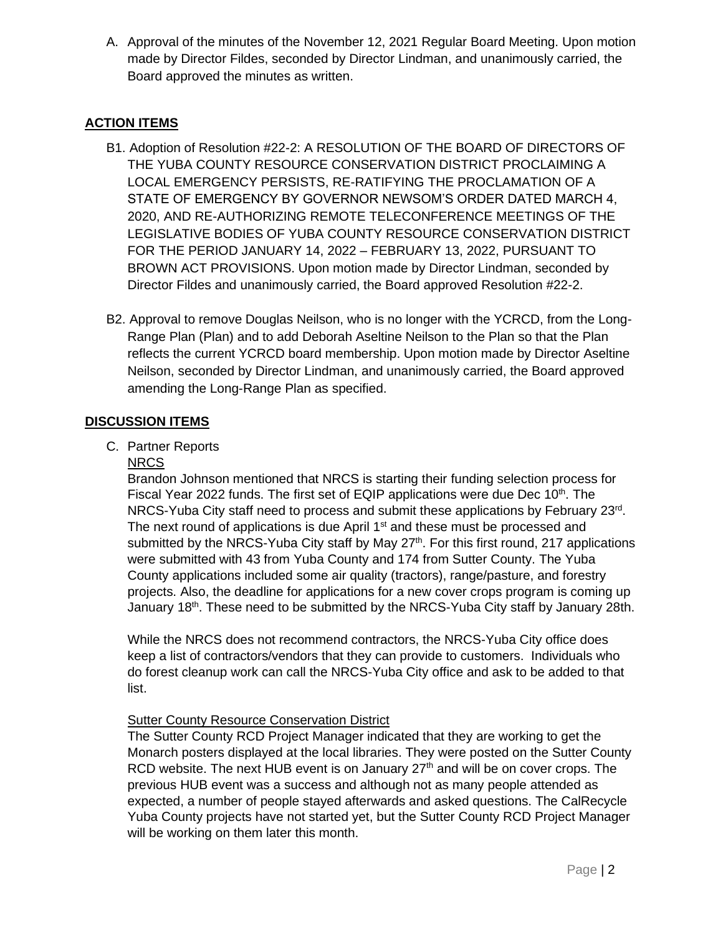A. Approval of the minutes of the November 12, 2021 Regular Board Meeting. Upon motion made by Director Fildes, seconded by Director Lindman, and unanimously carried, the Board approved the minutes as written.

## **ACTION ITEMS**

- B1. Adoption of Resolution #22-2: A RESOLUTION OF THE BOARD OF DIRECTORS OF THE YUBA COUNTY RESOURCE CONSERVATION DISTRICT PROCLAIMING A LOCAL EMERGENCY PERSISTS, RE-RATIFYING THE PROCLAMATION OF A STATE OF EMERGENCY BY GOVERNOR NEWSOM'S ORDER DATED MARCH 4, 2020, AND RE-AUTHORIZING REMOTE TELECONFERENCE MEETINGS OF THE LEGISLATIVE BODIES OF YUBA COUNTY RESOURCE CONSERVATION DISTRICT FOR THE PERIOD JANUARY 14, 2022 – FEBRUARY 13, 2022, PURSUANT TO BROWN ACT PROVISIONS. Upon motion made by Director Lindman, seconded by Director Fildes and unanimously carried, the Board approved Resolution #22-2.
- B2. Approval to remove Douglas Neilson, who is no longer with the YCRCD, from the Long-Range Plan (Plan) and to add Deborah Aseltine Neilson to the Plan so that the Plan reflects the current YCRCD board membership. Upon motion made by Director Aseltine Neilson, seconded by Director Lindman, and unanimously carried, the Board approved amending the Long-Range Plan as specified.

### **DISCUSSION ITEMS**

C. Partner Reports

#### NRCS

Brandon Johnson mentioned that NRCS is starting their funding selection process for Fiscal Year 2022 funds. The first set of EQIP applications were due Dec  $10<sup>th</sup>$ . The NRCS-Yuba City staff need to process and submit these applications by February 23<sup>rd</sup>. The next round of applications is due April  $1<sup>st</sup>$  and these must be processed and submitted by the NRCS-Yuba City staff by May  $27<sup>th</sup>$ . For this first round, 217 applications were submitted with 43 from Yuba County and 174 from Sutter County. The Yuba County applications included some air quality (tractors), range/pasture, and forestry projects. Also, the deadline for applications for a new cover crops program is coming up January 18<sup>th</sup>. These need to be submitted by the NRCS-Yuba City staff by January 28th.

While the NRCS does not recommend contractors, the NRCS-Yuba City office does keep a list of contractors/vendors that they can provide to customers. Individuals who do forest cleanup work can call the NRCS-Yuba City office and ask to be added to that list.

#### Sutter County Resource Conservation District

The Sutter County RCD Project Manager indicated that they are working to get the Monarch posters displayed at the local libraries. They were posted on the Sutter County RCD website. The next HUB event is on January  $27<sup>th</sup>$  and will be on cover crops. The previous HUB event was a success and although not as many people attended as expected, a number of people stayed afterwards and asked questions. The CalRecycle Yuba County projects have not started yet, but the Sutter County RCD Project Manager will be working on them later this month.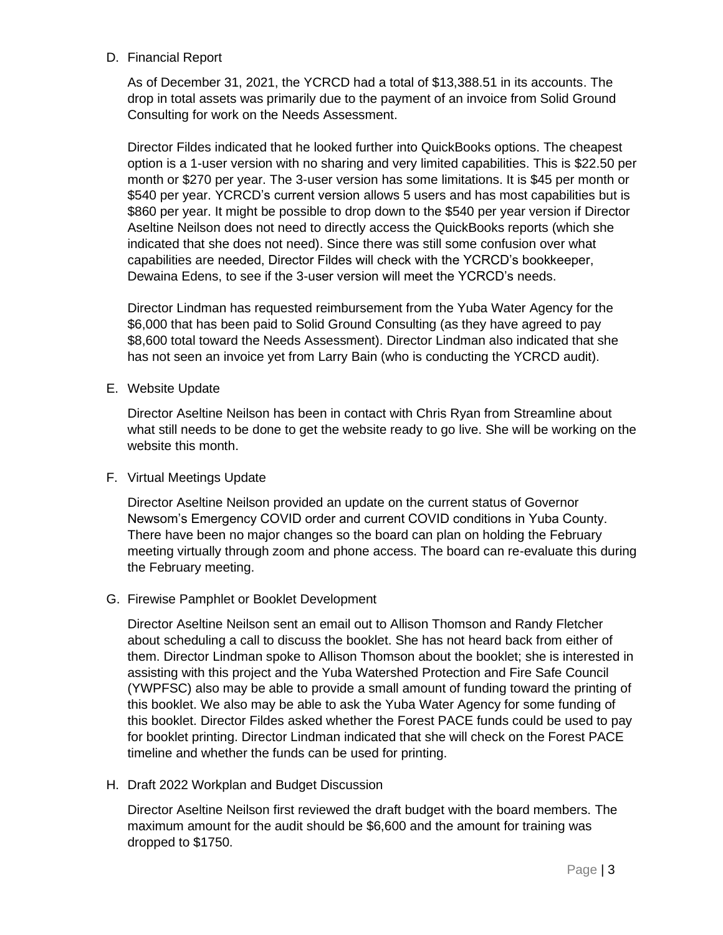#### D. Financial Report

As of December 31, 2021, the YCRCD had a total of \$13,388.51 in its accounts. The drop in total assets was primarily due to the payment of an invoice from Solid Ground Consulting for work on the Needs Assessment.

Director Fildes indicated that he looked further into QuickBooks options. The cheapest option is a 1-user version with no sharing and very limited capabilities. This is \$22.50 per month or \$270 per year. The 3-user version has some limitations. It is \$45 per month or \$540 per year. YCRCD's current version allows 5 users and has most capabilities but is \$860 per year. It might be possible to drop down to the \$540 per year version if Director Aseltine Neilson does not need to directly access the QuickBooks reports (which she indicated that she does not need). Since there was still some confusion over what capabilities are needed, Director Fildes will check with the YCRCD's bookkeeper, Dewaina Edens, to see if the 3-user version will meet the YCRCD's needs.

Director Lindman has requested reimbursement from the Yuba Water Agency for the \$6,000 that has been paid to Solid Ground Consulting (as they have agreed to pay \$8,600 total toward the Needs Assessment). Director Lindman also indicated that she has not seen an invoice yet from Larry Bain (who is conducting the YCRCD audit).

E. Website Update

Director Aseltine Neilson has been in contact with Chris Ryan from Streamline about what still needs to be done to get the website ready to go live. She will be working on the website this month.

F. Virtual Meetings Update

Director Aseltine Neilson provided an update on the current status of Governor Newsom's Emergency COVID order and current COVID conditions in Yuba County. There have been no major changes so the board can plan on holding the February meeting virtually through zoom and phone access. The board can re-evaluate this during the February meeting.

#### G. Firewise Pamphlet or Booklet Development

Director Aseltine Neilson sent an email out to Allison Thomson and Randy Fletcher about scheduling a call to discuss the booklet. She has not heard back from either of them. Director Lindman spoke to Allison Thomson about the booklet; she is interested in assisting with this project and the Yuba Watershed Protection and Fire Safe Council (YWPFSC) also may be able to provide a small amount of funding toward the printing of this booklet. We also may be able to ask the Yuba Water Agency for some funding of this booklet. Director Fildes asked whether the Forest PACE funds could be used to pay for booklet printing. Director Lindman indicated that she will check on the Forest PACE timeline and whether the funds can be used for printing.

H. Draft 2022 Workplan and Budget Discussion

Director Aseltine Neilson first reviewed the draft budget with the board members. The maximum amount for the audit should be \$6,600 and the amount for training was dropped to \$1750.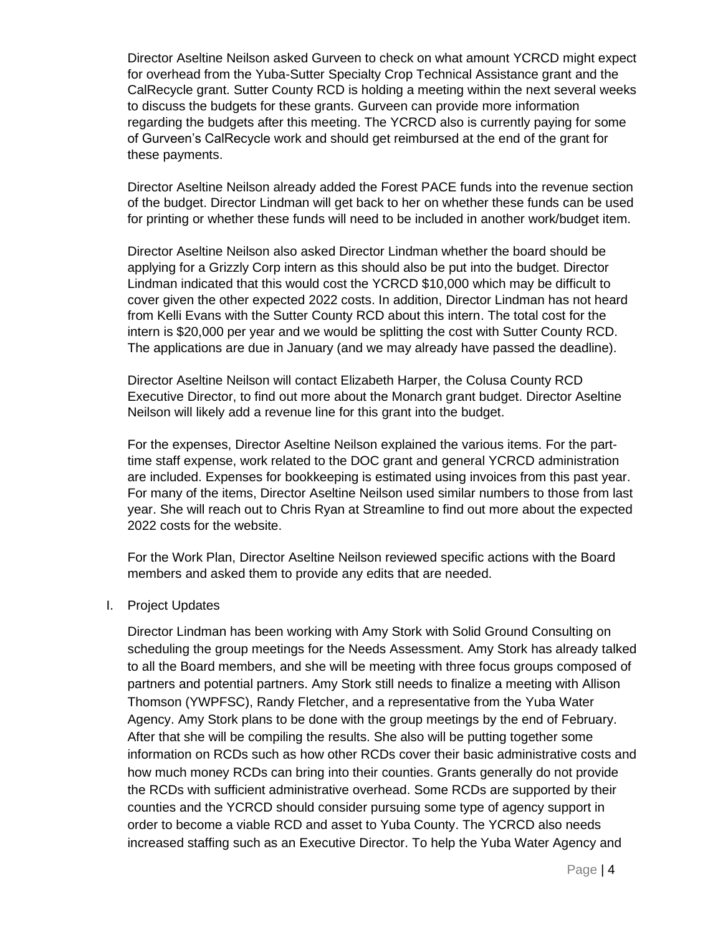Director Aseltine Neilson asked Gurveen to check on what amount YCRCD might expect for overhead from the Yuba-Sutter Specialty Crop Technical Assistance grant and the CalRecycle grant. Sutter County RCD is holding a meeting within the next several weeks to discuss the budgets for these grants. Gurveen can provide more information regarding the budgets after this meeting. The YCRCD also is currently paying for some of Gurveen's CalRecycle work and should get reimbursed at the end of the grant for these payments.

Director Aseltine Neilson already added the Forest PACE funds into the revenue section of the budget. Director Lindman will get back to her on whether these funds can be used for printing or whether these funds will need to be included in another work/budget item.

Director Aseltine Neilson also asked Director Lindman whether the board should be applying for a Grizzly Corp intern as this should also be put into the budget. Director Lindman indicated that this would cost the YCRCD \$10,000 which may be difficult to cover given the other expected 2022 costs. In addition, Director Lindman has not heard from Kelli Evans with the Sutter County RCD about this intern. The total cost for the intern is \$20,000 per year and we would be splitting the cost with Sutter County RCD. The applications are due in January (and we may already have passed the deadline).

Director Aseltine Neilson will contact Elizabeth Harper, the Colusa County RCD Executive Director, to find out more about the Monarch grant budget. Director Aseltine Neilson will likely add a revenue line for this grant into the budget.

For the expenses, Director Aseltine Neilson explained the various items. For the parttime staff expense, work related to the DOC grant and general YCRCD administration are included. Expenses for bookkeeping is estimated using invoices from this past year. For many of the items, Director Aseltine Neilson used similar numbers to those from last year. She will reach out to Chris Ryan at Streamline to find out more about the expected 2022 costs for the website.

For the Work Plan, Director Aseltine Neilson reviewed specific actions with the Board members and asked them to provide any edits that are needed.

#### I. Project Updates

Director Lindman has been working with Amy Stork with Solid Ground Consulting on scheduling the group meetings for the Needs Assessment. Amy Stork has already talked to all the Board members, and she will be meeting with three focus groups composed of partners and potential partners. Amy Stork still needs to finalize a meeting with Allison Thomson (YWPFSC), Randy Fletcher, and a representative from the Yuba Water Agency. Amy Stork plans to be done with the group meetings by the end of February. After that she will be compiling the results. She also will be putting together some information on RCDs such as how other RCDs cover their basic administrative costs and how much money RCDs can bring into their counties. Grants generally do not provide the RCDs with sufficient administrative overhead. Some RCDs are supported by their counties and the YCRCD should consider pursuing some type of agency support in order to become a viable RCD and asset to Yuba County. The YCRCD also needs increased staffing such as an Executive Director. To help the Yuba Water Agency and